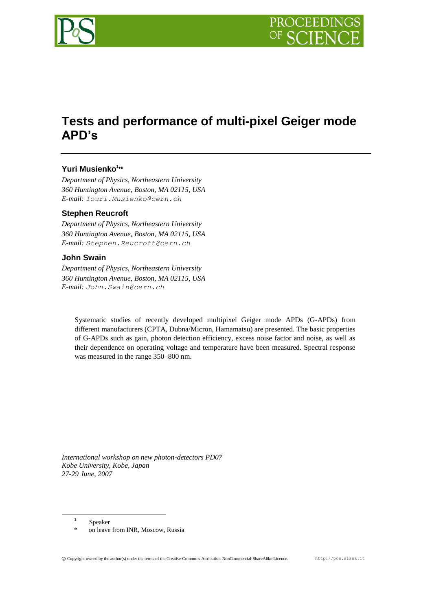

# **Tests and performance of multi-pixel Geiger mode APD's**

# **Yuri Musienko<sup>1</sup>, \***

*Department of Physics, Northeastern University 360 Huntington Avenue, Boston, MA 02115, USA E-mail: Iouri.Musienko@cern.ch*

### **Stephen Reucroft**

*Department of Physics, Northeastern University 360 Huntington Avenue, Boston, MA 02115, USA E-mail: Stephen.Reucroft@cern.ch*

### **John Swain**

*Department of Physics, Northeastern University 360 Huntington Avenue, Boston, MA 02115, USA E-mail: John.Swain@cern.ch*

Systematic studies of recently developed multipixel Geiger mode APDs (G-APDs) from different manufacturers (CPTA, Dubna/Micron, Hamamatsu) are presented. The basic properties of G-APDs such as gain, photon detection efficiency, excess noise factor and noise, as well as their dependence on operating voltage and temperature have been measured. Spectral response was measured in the range 350–800 nm.

*International workshop on new photon-detectors PD07 Kobe University, Kobe, Japan 27-29 June, 2007*

1 Speaker

1

on leave from INR, Moscow, Russia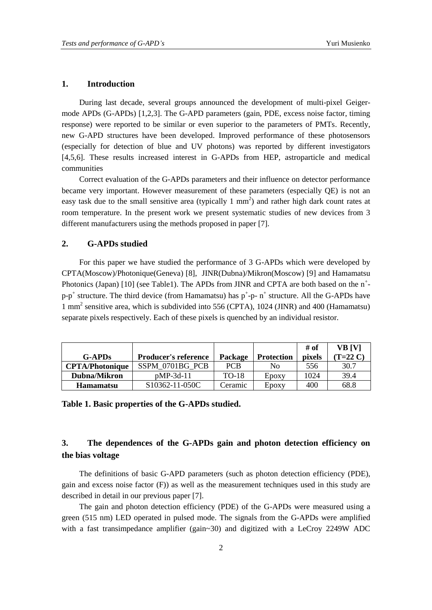### **1. Introduction**

During last decade, several groups announced the development of multi-pixel Geigermode APDs (G-APDs) [1,2,3]. The G-APD parameters (gain, PDE, excess noise factor, timing response) were reported to be similar or even superior to the parameters of PMTs. Recently, new G-APD structures have been developed. Improved performance of these photosensors (especially for detection of blue and UV photons) was reported by different investigators [4,5,6]. These results increased interest in G-APDs from HEP, astroparticle and medical communities

Correct evaluation of the G-APDs parameters and their influence on detector performance became very important. However measurement of these parameters (especially QE) is not an easy task due to the small sensitive area (typically  $1 \text{ mm}^2$ ) and rather high dark count rates at room temperature. In the present work we present systematic studies of new devices from 3 different manufacturers using the methods proposed in paper [7].

## **2. G-APDs studied**

For this paper we have studied the performance of 3 G-APDs which were developed by CPTA(Moscow)/Photonique(Geneva) [8], JINR(Dubna)/Mikron(Moscow) [9] and Hamamatsu Photonics (Japan) [10] (see Table1). The APDs from JINR and CPTA are both based on the  $n^+$  $p-p^+$  structure. The third device (from Hamamatsu) has  $p^+$ -p-  $n^+$  structure. All the G-APDs have 1 mm<sup>2</sup> sensitive area, which is subdivided into 556 (CPTA), 1024 (JINR) and 400 (Hamamatsu) separate pixels respectively. Each of these pixels is quenched by an individual resistor.

|                        |                             |              |                   | # of          | VB [V]     |
|------------------------|-----------------------------|--------------|-------------------|---------------|------------|
| <b>G-APDs</b>          | <b>Producer's reference</b> | Package      | <b>Protection</b> | <i>pixels</i> | $(T=22 C)$ |
| <b>CPTA/Photonique</b> | SSPM 0701BG PCB             | <b>PCB</b>   | No                | 556           | 30.7       |
| Dubna/Mikron           | $pMP-3d-11$                 | <b>TO-18</b> | Epoxy             | 1024          | 39.4       |
| <b>Hamamatsu</b>       | $S10362 - 11 - 050C$        | Ceramic      | Epoxy             | 400           | 68.8       |

**Table 1. Basic properties of the G-APDs studied.**

# **3. The dependences of the G-APDs gain and photon detection efficiency on the bias voltage**

The definitions of basic G-APD parameters (such as photon detection efficiency (PDE), gain and excess noise factor  $(F)$ ) as well as the measurement techniques used in this study are described in detail in our previous paper [7].

The gain and photon detection efficiency (PDE) of the G-APDs were measured using a green (515 nm) LED operated in pulsed mode. The signals from the G-APDs were amplified with a fast transimpedance amplifier (gain~30) and digitized with a LeCroy 2249W ADC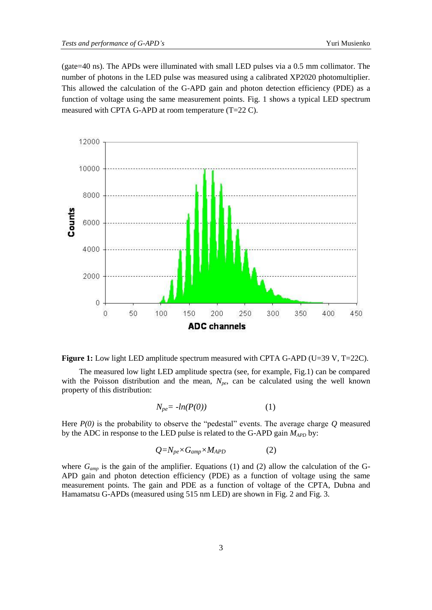(gate=40 ns). The APDs were illuminated with small LED pulses via a 0.5 mm collimator. The number of photons in the LED pulse was measured using a calibrated XP2020 photomultiplier. This allowed the calculation of the G-APD gain and photon detection efficiency (PDE) as a function of voltage using the same measurement points. Fig. 1 shows a typical LED spectrum measured with CPTA G-APD at room temperature (T=22 C).



**Figure 1:** Low light LED amplitude spectrum measured with CPTA G-APD (U=39 V, T=22C).

The measured low light LED amplitude spectra (see, for example, Fig.1) can be compared with the Poisson distribution and the mean,  $N_{pe}$ , can be calculated using the well known property of this distribution:

$$
N_{pe} = -ln(P(0))\tag{1}
$$

Here  $P(0)$  is the probability to observe the "pedestal" events. The average charge  $Q$  measured by the ADC in response to the LED pulse is related to the G-APD gain *MAPD* by:

$$
Q = N_{pe} \times G_{amp} \times M_{APD} \tag{2}
$$

where  $G_{amp}$  is the gain of the amplifier. Equations (1) and (2) allow the calculation of the G-APD gain and photon detection efficiency (PDE) as a function of voltage using the same measurement points. The gain and PDE as a function of voltage of the CPTA, Dubna and Hamamatsu G-APDs (measured using 515 nm LED) are shown in Fig. 2 and Fig. 3.

3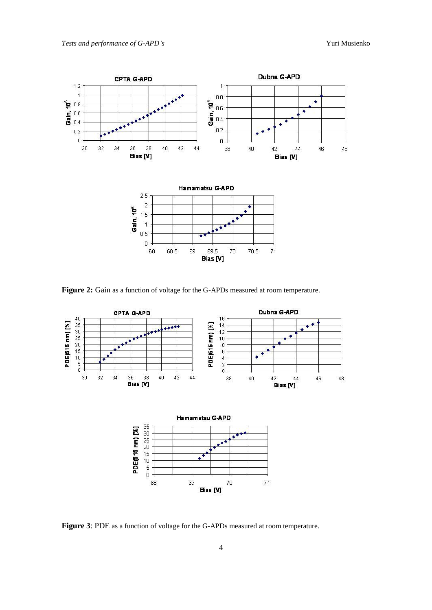

**Figure 2:** Gain as a function of voltage for the G-APDs measured at room temperature.



**Figure 3**: PDE as a function of voltage for the G-APDs measured at room temperature.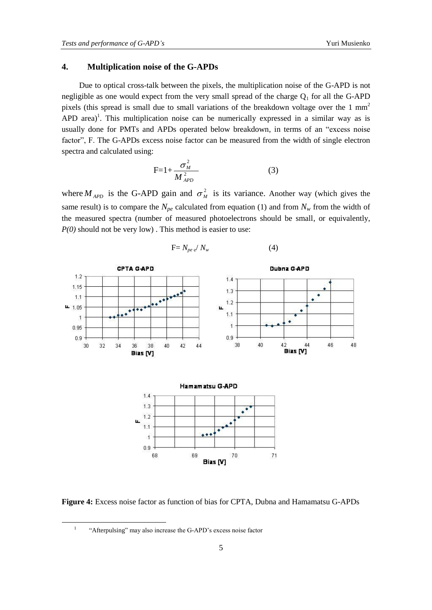spectra and calculated using:

Due to optical cross-talk between the pixels, the multiplication noise of the G-APD is not negligible as one would expect from the very small spread of the charge  $Q_1$  for all the G-APD pixels (this spread is small due to small variations of the breakdown voltage over the 1 mm<sup>2</sup> APD area)<sup>1</sup>. This multiplication noise can be numerically expressed in a similar way as is usually done for PMTs and APDs operated below breakdown, in terms of an "excess noise factor", F. The G-APDs excess noise factor can be measured from the width of single electron

$$
F=1+\frac{\sigma_M^2}{M_{APD}^2} \tag{3}
$$

where  $M_{APD}$  is the G-APD gain and  $\sigma_M^2$  $\frac{2}{M}$  is its variance. Another way (which gives the same result) is to compare the  $N_{pe}$  calculated from equation (1) and from  $N_w$  from the width of the measured spectra (number of measured photoelectrons should be small, or equivalently, *P(0)* should not be very low). This method is easier to use:

$$
F = N_{pe} e^{\prime} N_w \tag{4}
$$



**Figure 4:** Excess noise factor as function of bias for CPTA, Dubna and Hamamatsu G-APDs

1 "Afterpulsing" may also increase the G-APD's excess noise factor

<u>.</u>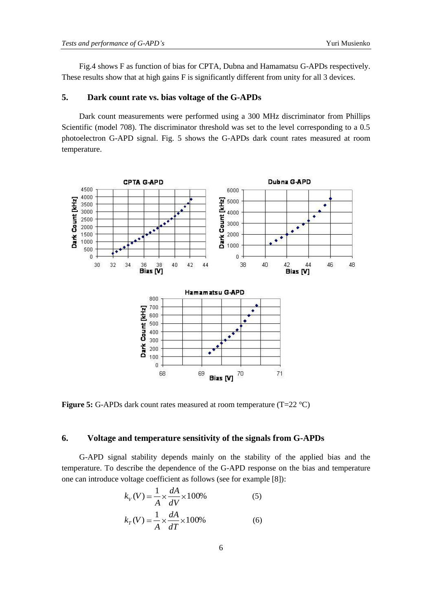Fig.4 shows F as function of bias for CPTA, Dubna and Hamamatsu G-APDs respectively. These results show that at high gains F is significantly different from unity for all 3 devices.

### **5. Dark count rate vs. bias voltage of the G-APDs**

Dark count measurements were performed using a 300 MHz discriminator from Phillips Scientific (model 708). The discriminator threshold was set to the level corresponding to a 0.5 photoelectron G-APD signal. Fig. 5 shows the G-APDs dark count rates measured at room temperature.



**Figure 5:** G-APDs dark count rates measured at room temperature (T=22 °C)

### **6. Voltage and temperature sensitivity of the signals from G-APDs**

G-APD signal stability depends mainly on the stability of the applied bias and the temperature. To describe the dependence of the G-APD response on the bias and temperature one can introduce voltage coefficient as follows (see for example [8]):

$$
k_V(V) = \frac{1}{A} \times \frac{dA}{dV} \times 100\%
$$
 (5)

$$
k_T(V) = \frac{1}{A} \times \frac{dA}{dT} \times 100\% \tag{6}
$$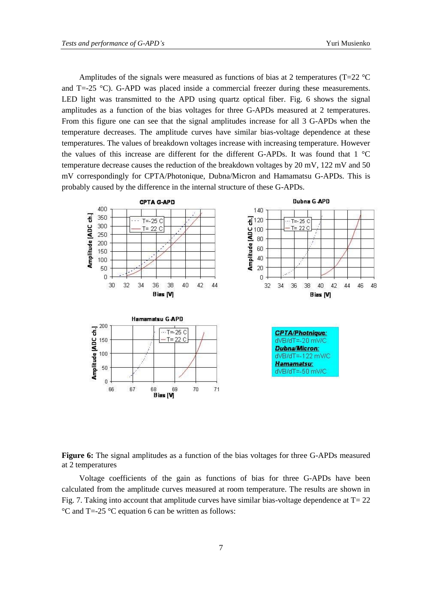Amplitudes of the signals were measured as functions of bias at 2 temperatures ( $T=22$  °C and T=-25 °C). G-APD was placed inside a commercial freezer during these measurements. LED light was transmitted to the APD using quartz optical fiber. Fig. 6 shows the signal amplitudes as a function of the bias voltages for three G-APDs measured at 2 temperatures. From this figure one can see that the signal amplitudes increase for all 3 G-APDs when the temperature decreases. The amplitude curves have similar bias-voltage dependence at these temperatures. The values of breakdown voltages increase with increasing temperature. However the values of this increase are different for the different G-APDs. It was found that 1 °C temperature decrease causes the reduction of the breakdown voltages by 20 mV, 122 mV and 50 mV correspondingly for CPTA/Photonique, Dubna/Micron and Hamamatsu G-APDs. This is probably caused by the difference in the internal structure of these G-APDs.



**Figure 6:** The signal amplitudes as a function of the bias voltages for three G-APDs measured at 2 temperatures

Voltage coefficients of the gain as functions of bias for three G-APDs have been calculated from the amplitude curves measured at room temperature. The results are shown in Fig. 7. Taking into account that amplitude curves have similar bias-voltage dependence at  $T = 22$ °C and T=-25 °C equation 6 can be written as follows: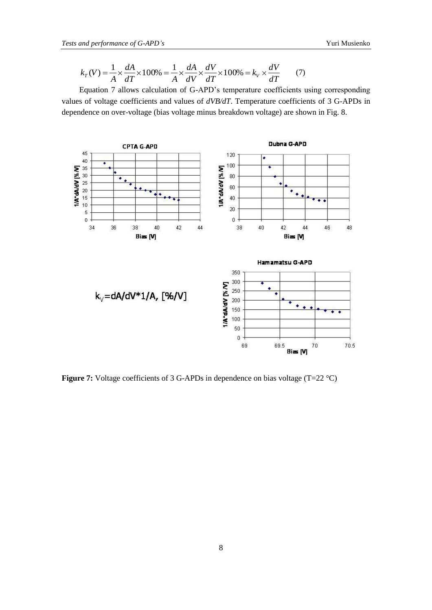$$
k_T(V) = \frac{1}{A} \times \frac{dA}{dT} \times 100\% = \frac{1}{A} \times \frac{dA}{dV} \times \frac{dV}{dT} \times 100\% = k_V \times \frac{dV}{dT}
$$
 (7)

Equation 7 allows calculation of G-APD's temperature coefficients using corresponding values of voltage coefficients and values of *dVB/dT*. Temperature coefficients of 3 G-APDs in dependence on over-voltage (bias voltage minus breakdown voltage) are shown in Fig. 8.



**Figure 7:** Voltage coefficients of 3 G-APDs in dependence on bias voltage (T=22 °C)

8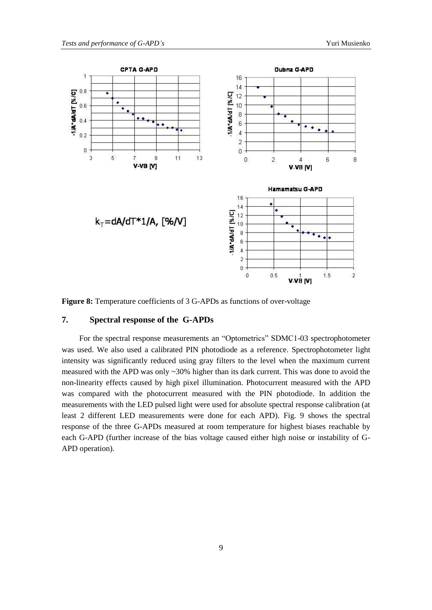

**Figure 8:** Temperature coefficients of 3 G-APDs as functions of over-voltage

### **7. Spectral response of the G-APDs**

For the spectral response measurements an "Optometrics" SDMC1-03 spectrophotometer was used. We also used a calibrated PIN photodiode as a reference. Spectrophotometer light intensity was significantly reduced using gray filters to the level when the maximum current measured with the APD was only ~30% higher than its dark current. This was done to avoid the non-linearity effects caused by high pixel illumination. Photocurrent measured with the APD was compared with the photocurrent measured with the PIN photodiode. In addition the measurements with the LED pulsed light were used for absolute spectral response calibration (at least 2 different LED measurements were done for each APD). Fig. 9 shows the spectral response of the three G-APDs measured at room temperature for highest biases reachable by each G-APD (further increase of the bias voltage caused either high noise or instability of G-APD operation).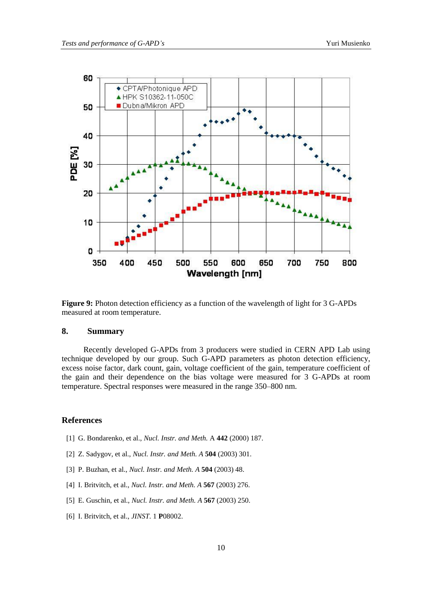

**Figure 9:** Photon detection efficiency as a function of the wavelength of light for 3 G-APDs measured at room temperature.

## **8. Summary**

Recently developed G-APDs from 3 producers were studied in CERN APD Lab using technique developed by our group. Such G-APD parameters as photon detection efficiency, excess noise factor, dark count, gain, voltage coefficient of the gain, temperature coefficient of the gain and their dependence on the bias voltage were measured for 3 G-APDs at room temperature. Spectral responses were measured in the range 350–800 nm.

### **References**

- [1] G. Bondarenko, et al., *Nucl. Instr. and Meth.* A **442** (2000) 187.
- [2] Z. Sadygov, et al., *Nucl. Instr. and Meth. A* **504** (2003) 301.
- [3] P. Buzhan, et al., *Nucl. Instr. and Meth. A* **504** (2003) 48.
- [4] I. Britvitch, et al., *Nucl. Instr. and Meth. A* **567** (2003) 276.
- [5] E. Guschin, et al., *Nucl. Instr. and Meth. A* **567** (2003) 250.
- [6] I. Britvitch, et al., *JINST.* 1 **P**08002.